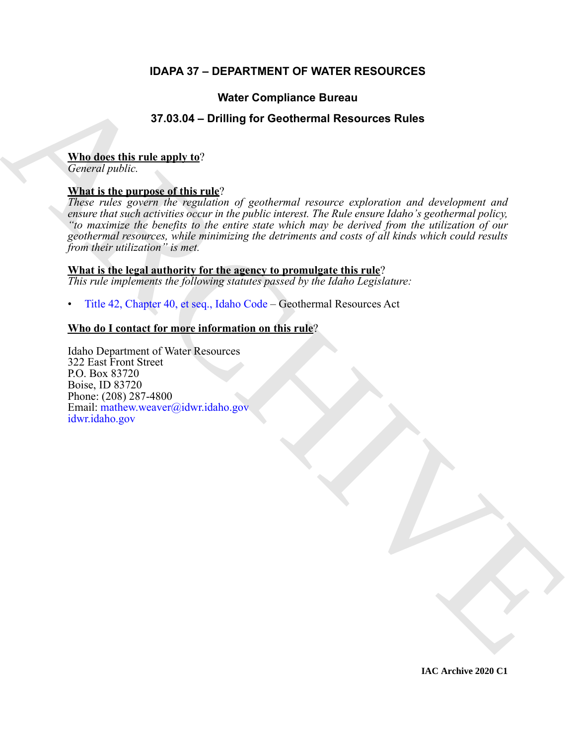# **IDAPA 37 – DEPARTMENT OF WATER RESOURCES**

# **Water Compliance Bureau**

# **37.03.04 – Drilling for Geothermal Resources Rules**

## **Who does this rule apply to**?

*General public.*

# **What is the purpose of this rule**?

**STAR diese this method and the method is a continue of Continuent Resources Rules<br>
Mind describes the method and the method is and the specific content of content and distribution and distributions of the method is a con** *These rules govern the regulation of geothermal resource exploration and development and ensure that such activities occur in the public interest. The Rule ensure Idaho's geothermal policy, "to maximize the benefits to the entire state which may be derived from the utilization of our geothermal resources, while minimizing the detriments and costs of all kinds which could results from their utilization" is met.*

### **What is the legal authority for the agency to promulgate this rule**?

*This rule implements the following statutes passed by the Idaho Legislature:*

• Title 42, Chapter 40, et seq., Idaho Code – Geothermal Resources Act

# **Who do I contact for more information on this rule**?

Idaho Department of Water Resources 322 East Front Street P.O. Box 83720 Boise, ID 83720 Phone: (208) 287-4800 Email: mathew.weaver@idwr.idaho.gov idwr.idaho.gov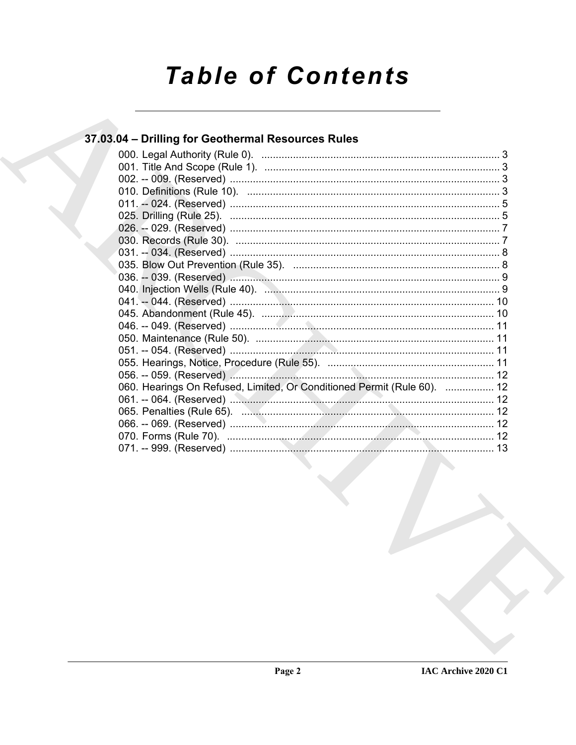# **Table of Contents**

# 37.03.04 - Drilling for Geothermal Resources Rules

| 060. Hearings On Refused, Limited, Or Conditioned Permit (Rule 60).  12 |  |
|-------------------------------------------------------------------------|--|
|                                                                         |  |
|                                                                         |  |
|                                                                         |  |
|                                                                         |  |
|                                                                         |  |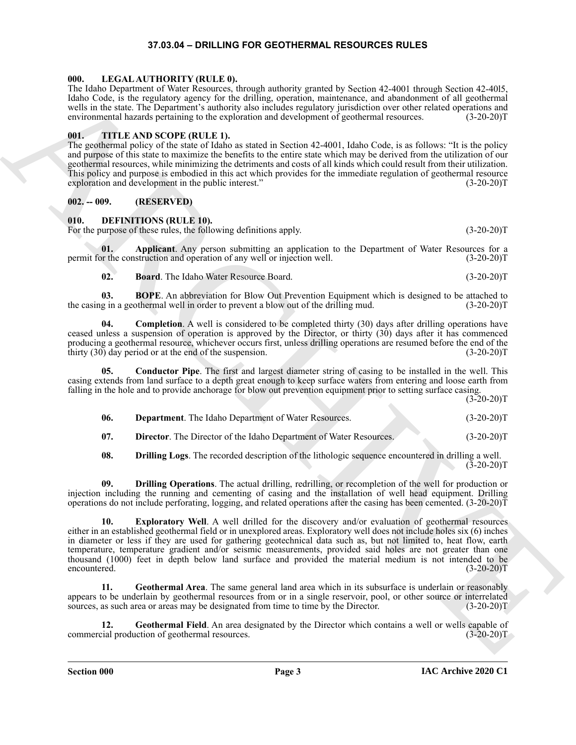### **37.03.04 – DRILLING FOR GEOTHERMAL RESOURCES RULES**

#### <span id="page-2-18"></span><span id="page-2-1"></span><span id="page-2-0"></span>**000. LEGAL AUTHORITY (RULE 0).**

The Idaho Department of Water Resources, through authority granted by Section 42-4001 through Section 42-40l5, Idaho Code, is the regulatory agency for the drilling, operation, maintenance, and abandonment of all geothermal wells in the state. The Department's authority also includes regulatory jurisdiction over other related operations and environmental hazards pertaining to the exploration and development of geothermal resources. (3-20-20)T

### <span id="page-2-19"></span><span id="page-2-2"></span>**001. TITLE AND SCOPE (RULE 1).**

The geothermal policy of the state of Idaho as stated in Section 42-4001, Idaho Code, is as follows: "It is the policy and purpose of this state to maximize the benefits to the entire state which may be derived from the utilization of our geothermal resources, while minimizing the detriments and costs of all kinds which could result from their utilization. This policy and purpose is embodied in this act which provides for the immediate regulation of geothermal resource exploration and development in the public interest." (3-20-20)T

### <span id="page-2-3"></span>**002. -- 009. (RESERVED)**

### <span id="page-2-5"></span><span id="page-2-4"></span>**010. DEFINITIONS (RULE 10).**

For the purpose of these rules, the following definitions apply. (3-20-20)T

**01.** Applicant. Any person submitting an application to the Department of Water Resources for a or the construction and operation of any well or injection well. (3-20-20) permit for the construction and operation of any well or injection well.

<span id="page-2-9"></span><span id="page-2-8"></span><span id="page-2-7"></span><span id="page-2-6"></span>**02. Board**. The Idaho Water Resource Board. (3-20-20)T

**03. BOPE**. An abbreviation for Blow Out Prevention Equipment which is designed to be attached to the casing in a geothermal well in order to prevent a blow out of the drilling mud. (3-20-20)T

**04.** Completion. A well is considered to be completed thirty (30) days after drilling operations have ceased unless a suspension of operation is approved by the Director, or thirty (30) days after it has commenced producing a geothermal resource, whichever occurs first, unless drilling operations are resumed before the end of the thirty (30) day period or at the end of the suspension. (3-20-20)T

**05. Conductor Pipe**. The first and largest diameter string of casing to be installed in the well. This casing extends from land surface to a depth great enough to keep surface waters from entering and loose earth from falling in the hole and to provide anchorage for blow out prevention equipment prior to setting surface casing.

 $(3-20-20)T$ 

<span id="page-2-11"></span><span id="page-2-10"></span>

| 06. | <b>Department</b> . The Idaho Department of Water Resources. | $(3-20-20)T$ |
|-----|--------------------------------------------------------------|--------------|
|     |                                                              |              |

<span id="page-2-12"></span>**07. Director**. The Director of the Idaho Department of Water Resources. (3-20-20)T

<span id="page-2-15"></span><span id="page-2-14"></span><span id="page-2-13"></span>**08. Drilling Logs**. The recorded description of the lithologic sequence encountered in drilling a well.  $(3-20-20)T$ 

**09. Drilling Operations**. The actual drilling, redrilling, or recompletion of the well for production or injection including the running and cementing of casing and the installation of well head equipment. Drilling operations do not include perforating, logging, and related operations after the casing has been cemented. (3-20-20)T

The shale boostness of the Labourge and the shale of the shale of the shale of the shale of the shale of the shall of the shall of the shall of the shall of the shall of the shall of the shall of the shall of the shall of **10. Exploratory Well**. A well drilled for the discovery and/or evaluation of geothermal resources either in an established geothermal field or in unexplored areas. Exploratory well does not include holes six (6) inches in diameter or less if they are used for gathering geotechnical data such as, but not limited to, heat flow, earth temperature, temperature gradient and/or seismic measurements, provided said holes are not greater than one thousand (1000) feet in depth below land surface and provided the material medium is not intended to be encountered. (3-20-20)T

<span id="page-2-16"></span>**11. Geothermal Area**. The same general land area which in its subsurface is underlain or reasonably appears to be underlain by geothermal resources from or in a single reservoir, pool, or other source or interrelated sources, as such area or areas may be designated from time to time by the Director. (3-20-20)T

<span id="page-2-17"></span>**12. Geothermal Field**. An area designated by the Director which contains a well or wells capable of commercial production of geothermal resources. (3-20-20)T

**Section 000 Page 3**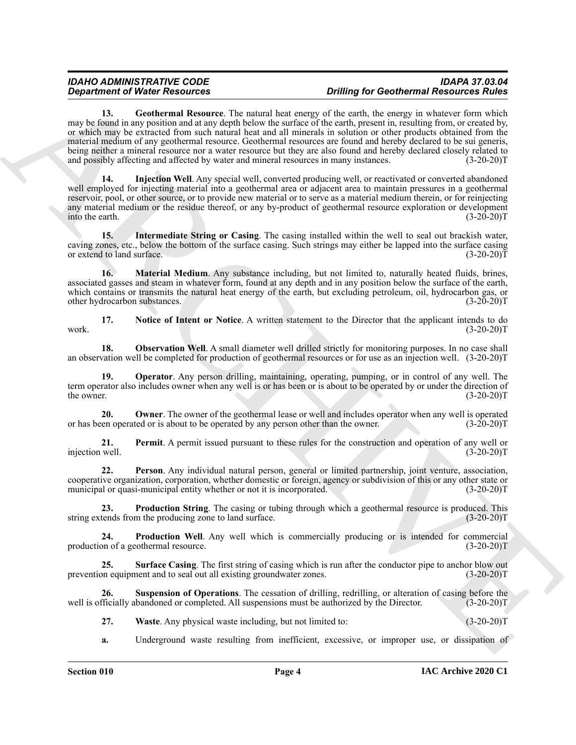*Construent of Nices Research* Chemical Research Chemical Construent of Nices Chemical Research Chemical Research Chemical Research Chemical Research Chemical Research Chemical Research Chemical Research Chemical Resear **13. Geothermal Resource**. The natural heat energy of the earth, the energy in whatever form which may be found in any position and at any depth below the surface of the earth, present in, resulting from, or created by, or which may be extracted from such natural heat and all minerals in solution or other products obtained from the material medium of any geothermal resource. Geothermal resources are found and hereby declared to be sui generis, being neither a mineral resource nor a water resource but they are also found and hereby declared closely related to and possibly affecting and affected by water and mineral resources in many instances. (3-20-20)T

<span id="page-3-1"></span><span id="page-3-0"></span>**14. Injection Well**. Any special well, converted producing well, or reactivated or converted abandoned well employed for injecting material into a geothermal area or adjacent area to maintain pressures in a geothermal reservoir, pool, or other source, or to provide new material or to serve as a material medium therein, or for reinjecting any material medium or the residue thereof, or any by-product of geothermal resource exploration or development into the earth. (3-20-20)T

<span id="page-3-2"></span>**15. Intermediate String or Casing**. The casing installed within the well to seal out brackish water, caving zones, etc., below the bottom of the surface casing. Such strings may either be lapped into the surface casing or extend to land surface. (3-20-20)T

<span id="page-3-3"></span>**16. Material Medium**. Any substance including, but not limited to, naturally heated fluids, brines, associated gasses and steam in whatever form, found at any depth and in any position below the surface of the earth, which contains or transmits the natural heat energy of the earth, but excluding petroleum, oil, hydrocarbon gas, or other hydrocarbon substances. (3-20-20) other hydrocarbon substances.

<span id="page-3-4"></span>**17. Notice of Intent or Notice**. A written statement to the Director that the applicant intends to do work.  $(3-20-20)T$ 

<span id="page-3-5"></span>**18. Observation Well**. A small diameter well drilled strictly for monitoring purposes. In no case shall an observation well be completed for production of geothermal resources or for use as an injection well. (3-20-20)T

<span id="page-3-6"></span>**19. Operator**. Any person drilling, maintaining, operating, pumping, or in control of any well. The term operator also includes owner when any well is or has been or is about to be operated by or under the direction of the owner. (3-20-20) the owner.  $(3-20-20)T$ 

<span id="page-3-7"></span>**20. Owner**. The owner of the geothermal lease or well and includes operator when any well is operated or has been operated or is about to be operated by any person other than the owner. (3-20-20)T

<span id="page-3-8"></span>**21. Permit**. A permit issued pursuant to these rules for the construction and operation of any well or well. (3-20-20) injection well.

<span id="page-3-9"></span>**22. Person**. Any individual natural person, general or limited partnership, joint venture, association, cooperative organization, corporation, whether domestic or foreign, agency or subdivision of this or any other state or municipal or quasi-municipal entity whether or not it is incorporated. (3-20-20)T

<span id="page-3-10"></span>**23. Production String**. The casing or tubing through which a geothermal resource is produced. This tends from the producing zone to land surface. (3-20-20)<sup>T</sup> string extends from the producing zone to land surface.

<span id="page-3-11"></span>**24. Production Well**. Any well which is commercially producing or is intended for commercial production of a geothermal resource. (3-20-20)T

<span id="page-3-12"></span>**25.** Surface Casing. The first string of casing which is run after the conductor pipe to anchor blow out on equipment and to seal out all existing groundwater zones.  $(3-20-20)$ prevention equipment and to seal out all existing groundwater zones.

**26. Suspension of Operations**. The cessation of drilling, redrilling, or alteration of casing before the well is officially abandoned or completed. All suspensions must be authorized by the Director. (3-20-20)T

<span id="page-3-14"></span><span id="page-3-13"></span>**27.** Waste. Any physical waste including, but not limited to:  $(3-20-20)T$ 

**a.** Underground waste resulting from inefficient, excessive, or improper use, or dissipation of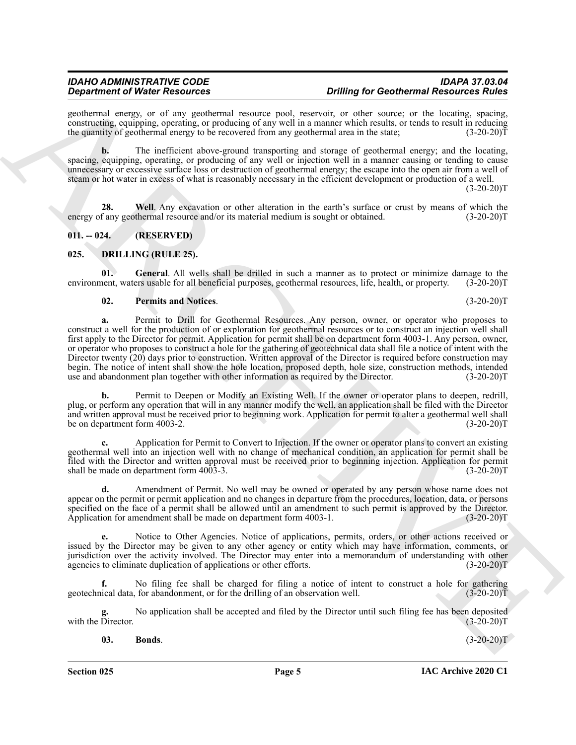geothermal energy, or of any geothermal resource pool, reservoir, or other source; or the locating, spacing, constructing, equipping, operating, or producing of any well in a manner which results, or tends to result in reducing the quantity of geothermal energy to be recovered from any geothermal area in the state; (3-20-20)T

**b.** The inefficient above-ground transporting and storage of geothermal energy; and the locating, spacing, equipping, operating, or producing of any well or injection well in a manner causing or tending to cause unnecessary or excessive surface loss or destruction of geothermal energy; the escape into the open air from a well of steam or hot water in excess of what is reasonably necessary in the efficient development or production of a well.

 $(3-20-20)T$ 

<span id="page-4-2"></span>**28. Well**. Any excavation or other alteration in the earth's surface or crust by means of which the energy of any geothermal resource and/or its material medium is sought or obtained.  $(3-20-20)T$ 

<span id="page-4-0"></span>**011. -- 024. (RESERVED)**

#### <span id="page-4-3"></span><span id="page-4-1"></span>**025. DRILLING (RULE 25).**

**01. General**. All wells shall be drilled in such a manner as to protect or minimize damage to the environment, waters usable for all beneficial purposes, geothermal resources, life, health, or property. (3-20-20)T

#### <span id="page-4-6"></span><span id="page-4-5"></span>**02. Permits and Notices**. (3-20-20)T

**Experiments of Nicolas School and All value of Nicolas School and Archives China and Archives China and Archives China and Archives China and Archives China and Archives China and Archives China and Archives China and Ar a.** Permit to Drill for Geothermal Resources. Any person, owner, or operator who proposes to construct a well for the production of or exploration for geothermal resources or to construct an injection well shall first apply to the Director for permit. Application for permit shall be on department form 4003-1. Any person, owner, or operator who proposes to construct a hole for the gathering of geotechnical data shall file a notice of intent with the Director twenty (20) days prior to construction. Written approval of the Director is required before construction may begin. The notice of intent shall show the hole location, proposed depth, hole size, construction methods, intended use and abandonment plan together with other information as required by the Director. (3-20-20)T use and abandonment plan together with other information as required by the Director.

Permit to Deepen or Modify an Existing Well. If the owner or operator plans to deepen, redrill, plug, or perform any operation that will in any manner modify the well, an application shall be filed with the Director and written approval must be received prior to beginning work. Application for permit to alter a geothermal well shall be on department form 4003-2. (3-20-20)T

**c.** Application for Permit to Convert to Injection. If the owner or operator plans to convert an existing geothermal well into an injection well with no change of mechanical condition, an application for permit shall be filed with the Director and written approval must be received prior to beginning injection. Application for permit shall be made on department form 4003-3. (3-20-20)T

**d.** Amendment of Permit. No well may be owned or operated by any person whose name does not appear on the permit or permit application and no changes in departure from the procedures, location, data, or persons specified on the face of a permit shall be allowed until an amendment to such permit is approved by the Director.<br>Application for amendment shall be made on department form 4003-1. (3-20-20) Application for amendment shall be made on department form  $4003-1$ .

**e.** Notice to Other Agencies. Notice of applications, permits, orders, or other actions received or issued by the Director may be given to any other agency or entity which may have information, comments, or jurisdiction over the activity involved. The Director may enter into a memorandum of understanding with other agencies to eliminate duplication of applications or other efforts. (3-20-20) agencies to eliminate duplication of applications or other efforts.

**f.** No filing fee shall be charged for filing a notice of intent to construct a hole for gathering geotechnical data, for abandonment, or for the drilling of an observation well. (3-20-20)T

No application shall be accepted and filed by the Director until such filing fee has been deposited (3-20-20)T with the Director.

#### <span id="page-4-4"></span>**03. Bonds**. (3-20-20)T

**Section 025 Page 5**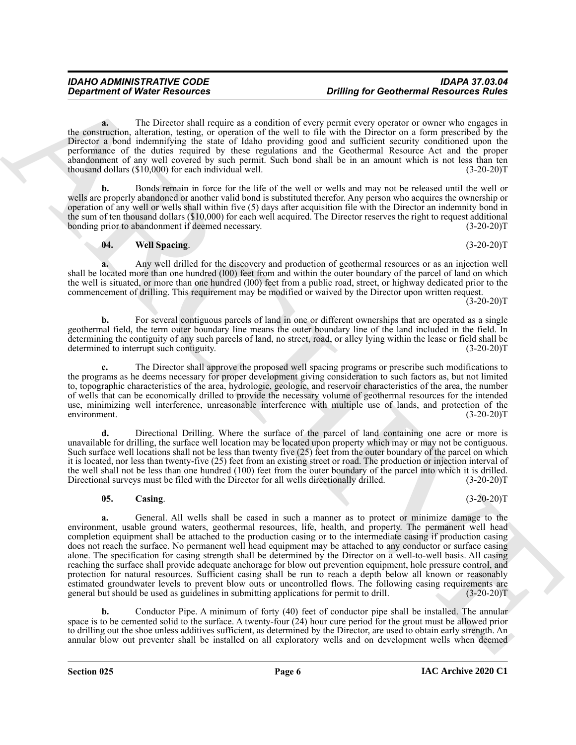**a.** The Director shall require as a condition of every permit every operator or owner who engages in the construction, alteration, testing, or operation of the well to file with the Director on a form prescribed by the Director a bond indemnifying the state of Idaho providing good and sufficient security conditioned upon the performance of the duties required by these regulations and the Geothermal Resource Act and the proper abandonment of any well covered by such permit. Such bond shall be in an amount which is not less than ten thousand dollars (\$10,000) for each individual well. (3-20-20) thousand dollars  $(\$10,000)$  for each individual well.

**b.** Bonds remain in force for the life of the well or wells and may not be released until the well or wells are properly abandoned or another valid bond is substituted therefor. Any person who acquires the ownership or operation of any well or wells shall within five (5) days after acquisition file with the Director an indemnity bond in the sum of ten thousand dollars (\$10,000) for each well acquired. The Director reserves the right to request additional<br>(3-20-20)T bonding prior to abandonment if deemed necessary.

### <span id="page-5-1"></span>**04. Well Spacing**. (3-20-20)T

**a.** Any well drilled for the discovery and production of geothermal resources or as an injection well shall be located more than one hundred (l00) feet from and within the outer boundary of the parcel of land on which the well is situated, or more than one hundred (l00) feet from a public road, street, or highway dedicated prior to the commencement of drilling. This requirement may be modified or waived by the Director upon written request.

 $(3-20-20)T$ 

**b.** For several contiguous parcels of land in one or different ownerships that are operated as a single geothermal field, the term outer boundary line means the outer boundary line of the land included in the field. In determining the contiguity of any such parcels of land, no street, road, or alley lying within the lease or field shall be determined to interrupt such contiguity. (3-20-20)T

**c.** The Director shall approve the proposed well spacing programs or prescribe such modifications to the programs as he deems necessary for proper development giving consideration to such factors as, but not limited to, topographic characteristics of the area, hydrologic, geologic, and reservoir characteristics of the area, the number of wells that can be economically drilled to provide the necessary volume of geothermal resources for the intended use, minimizing well interference, unreasonable interference with multiple use of lands, and protection of the environment. (3-20-20)T

**d.** Directional Drilling. Where the surface of the parcel of land containing one acre or more is unavailable for drilling, the surface well location may be located upon property which may or may not be contiguous. Such surface well locations shall not be less than twenty five (25) feet from the outer boundary of the parcel on which it is located, nor less than twenty-five (25) feet from an existing street or road. The production or injection interval of the well shall not be less than one hundred (100) feet from the outer boundary of the parcel into which it is drilled.<br>Directional surveys must be filed with the Director for all wells directionally drilled. (3-20-20)T Directional surveys must be filed with the Director for all wells directionally drilled.

### <span id="page-5-0"></span>**05.** Casing. (3-20-20)T

**Constrained Water Research 60**<br>
The Development Research 60<br>
The Development Research 60<br>
The Development and constrained to the Second State of the Second State of the Second State<br>
The Constrained State of the Second S **a.** General. All wells shall be cased in such a manner as to protect or minimize damage to the environment, usable ground waters, geothermal resources, life, health, and property. The permanent well head completion equipment shall be attached to the production casing or to the intermediate casing if production casing does not reach the surface. No permanent well head equipment may be attached to any conductor or surface casing alone. The specification for casing strength shall be determined by the Director on a well-to-well basis. All casing reaching the surface shall provide adequate anchorage for blow out prevention equipment, hole pressure control, and protection for natural resources. Sufficient casing shall be run to reach a depth below all known or reasonably estimated groundwater levels to prevent blow outs or uncontrolled flows. The following casing requirements are general but should be used as guidelines in submitting applications for permit to drill. (3-20-20)T

**b.** Conductor Pipe. A minimum of forty (40) feet of conductor pipe shall be installed. The annular space is to be cemented solid to the surface. A twenty-four (24) hour cure period for the grout must be allowed prior to drilling out the shoe unless additives sufficient, as determined by the Director, are used to obtain early strength. An annular blow out preventer shall be installed on all exploratory wells and on development wells when deemed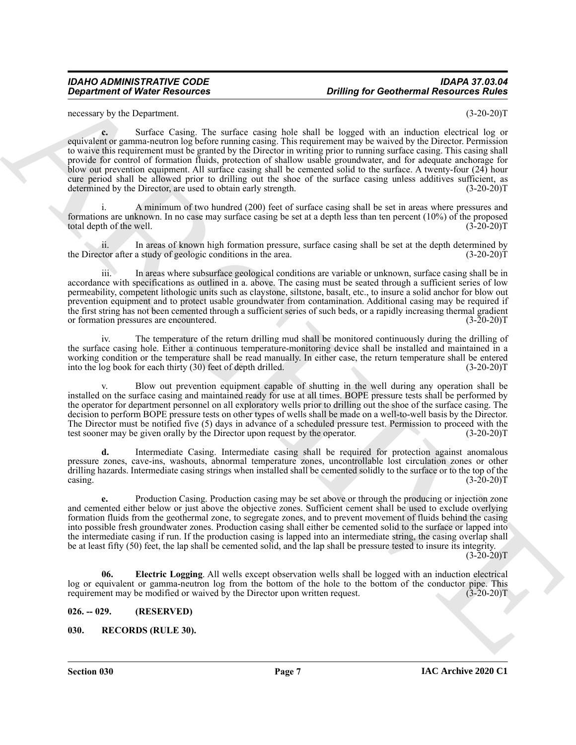necessary by the Department. (3-20-20)T

*Department of Water Resources Drilling for Geothermal Resources* **<b>***Robert State Content in the content of the definition of the content of the content of the content of the content of the content of the content of t* **c.** Surface Casing. The surface casing hole shall be logged with an induction electrical log or equivalent or gamma-neutron log before running casing. This requirement may be waived by the Director. Permission to waive this requirement must be granted by the Director in writing prior to running surface casing. This casing shall provide for control of formation fluids, protection of shallow usable groundwater, and for adequate anchorage for blow out prevention equipment. All surface casing shall be cemented solid to the surface. A twenty-four (24) hour cure period shall be allowed prior to drilling out the shoe of the surface casing unless additives sufficient, as determined by the Director, are used to obtain early strength. (3-20-20)T

i. A minimum of two hundred (200) feet of surface casing shall be set in areas where pressures and formations are unknown. In no case may surface casing be set at a depth less than ten percent (10%) of the proposed total depth of the well.

ii. In areas of known high formation pressure, surface casing shall be set at the depth determined by tor after a study of geologic conditions in the area. (3-20-20) the Director after a study of geologic conditions in the area.

iii. In areas where subsurface geological conditions are variable or unknown, surface casing shall be in accordance with specifications as outlined in a. above. The casing must be seated through a sufficient series of low permeability, competent lithologic units such as claystone, siltstone, basalt, etc., to insure a solid anchor for blow out prevention equipment and to protect usable groundwater from contamination. Additional casing may be required if the first string has not been cemented through a sufficient series of such beds, or a rapidly increasing thermal gradient or formation pressures are encountered. (3-20-20) or formation pressures are encountered.

iv. The temperature of the return drilling mud shall be monitored continuously during the drilling of the surface casing hole. Either a continuous temperature-monitoring device shall be installed and maintained in a working condition or the temperature shall be read manually. In either case, the return temperature shall be entered<br>into the log book for each thirty (30) feet of depth drilled. (3-20-20) into the  $log$  book for each thirty  $(30)$  feet of depth drilled.

Blow out prevention equipment capable of shutting in the well during any operation shall be installed on the surface casing and maintained ready for use at all times. BOPE pressure tests shall be performed by the operator for department personnel on all exploratory wells prior to drilling out the shoe of the surface casing. The decision to perform BOPE pressure tests on other types of wells shall be made on a well-to-well basis by the Director. The Director must be notified five (5) days in advance of a scheduled pressure test. Permission to proceed with the test sooner may be given orally by the Director upon request by the operator.  $(3-20-20)$ test sooner may be given orally by the Director upon request by the operator.

**d.** Intermediate Casing. Intermediate casing shall be required for protection against anomalous pressure zones, cave-ins, washouts, abnormal temperature zones, uncontrollable lost circulation zones or other drilling hazards. Intermediate casing strings when installed shall be cemented solidly to the surface or to the top of the casing. (3-20-20)T  $\cos\theta$  (3-20-20)T

**e.** Production Casing. Production casing may be set above or through the producing or injection zone and cemented either below or just above the objective zones. Sufficient cement shall be used to exclude overlying formation fluids from the geothermal zone, to segregate zones, and to prevent movement of fluids behind the casing into possible fresh groundwater zones. Production casing shall either be cemented solid to the surface or lapped into the intermediate casing if run. If the production casing is lapped into an intermediate string, the casing overlap shall be at least fifty (50) feet, the lap shall be cemented solid, and the lap shall be pressure tested to insure its integrity.

 $(3-20-20)T$ 

<span id="page-6-2"></span>**06. Electric Logging**. All wells except observation wells shall be logged with an induction electrical log or equivalent or gamma-neutron log from the bottom of the hole to the bottom of the conductor pipe. This requirement may be modified or waived by the Director upon written request. (3-20-20)T

### <span id="page-6-0"></span>**026. -- 029. (RESERVED)**

### <span id="page-6-3"></span><span id="page-6-1"></span>**030. RECORDS (RULE 30).**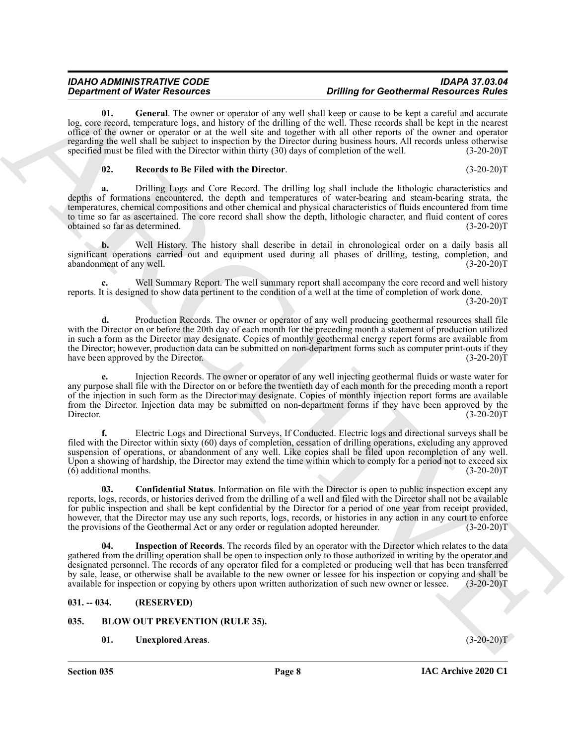<span id="page-7-5"></span>**01. General**. The owner or operator of any well shall keep or cause to be kept a careful and accurate log, core record, temperature logs, and history of the drilling of the well. These records shall be kept in the nearest office of the owner or operator or at the well site and together with all other reports of the owner and operator regarding the well shall be subject to inspection by the Director during business hours. All records unless otherwise specified must be filed with the Director within thirty (30) days of completion of the well. (3-20-20)T

#### <span id="page-7-7"></span>**02. Records to Be Filed with the Director**. (3-20-20)T

**a.** Drilling Logs and Core Record. The drilling log shall include the lithologic characteristics and depths of formations encountered, the depth and temperatures of water-bearing and steam-bearing strata, the temperatures, chemical compositions and other chemical and physical characteristics of fluids encountered from time to time so far as ascertained. The core record shall show the depth, lithologic character, and fluid content of cores obtained so far as determined. (3-20-20)T obtained so far as determined.

**b.** Well History. The history shall describe in detail in chronological order on a daily basis all significant operations carried out and equipment used during all phases of drilling, testing, completion, and abandonment of any well. (3-20-20) abandonment of any well.

**c.** Well Summary Report. The well summary report shall accompany the core record and well history reports. It is designed to show data pertinent to the condition of a well at the time of completion of work done.

 $(3-20-20)T$ 

**d.** Production Records. The owner or operator of any well producing geothermal resources shall file with the Director on or before the 20th day of each month for the preceding month a statement of production utilized in such a form as the Director may designate. Copies of monthly geothermal energy report forms are available from the Director; however, production data can be submitted on non-department forms such as computer print-outs if they have been approved by the Director. (3-20-20)T

**e.** Injection Records. The owner or operator of any well injecting geothermal fluids or waste water for any purpose shall file with the Director on or before the twentieth day of each month for the preceding month a report of the injection in such form as the Director may designate. Copies of monthly injection report forms are available from the Director. Injection data may be submitted on non-department forms if they have been approved by the Director. (3-20-20)T

<span id="page-7-4"></span>**f.** Electric Logs and Directional Surveys, If Conducted. Electric logs and directional surveys shall be filed with the Director within sixty (60) days of completion, cessation of drilling operations, excluding any approved suspension of operations, or abandonment of any well. Like copies shall be filed upon recompletion of any well. Upon a showing of hardship, the Director may extend the time within which to comply for a period not to exceed six  $(6)$  additional months.  $(3-20-20)T$ 

**Constraint of Water Research in the main of the state of the state of the state of the state of the state of the state of the state of the state of the state of the state of the state of the state of the state of the sta 03. Confidential Status**. Information on file with the Director is open to public inspection except any reports, logs, records, or histories derived from the drilling of a well and filed with the Director shall not be available for public inspection and shall be kept confidential by the Director for a period of one year from receipt provided, however, that the Director may use any such reports, logs, records, or histories in any action in any court to enforce the provisions of the Geothermal Act or any order or regulation adopted hereunder. (3-20-20)T

<span id="page-7-6"></span>**Inspection of Records**. The records filed by an operator with the Director which relates to the data gathered from the drilling operation shall be open to inspection only to those authorized in writing by the operator and designated personnel. The records of any operator filed for a completed or producing well that has been transferred by sale, lease, or otherwise shall be available to the new owner or lessee for his inspection or copying and shall be available for inspection or copying by others upon written authorization of such new owner or lessee. (3-20-20)T

### <span id="page-7-0"></span>**031. -- 034. (RESERVED)**

### <span id="page-7-1"></span>**035. BLOW OUT PREVENTION (RULE 35).**

### <span id="page-7-3"></span><span id="page-7-2"></span>**01. Unexplored Areas**. (3-20-20)T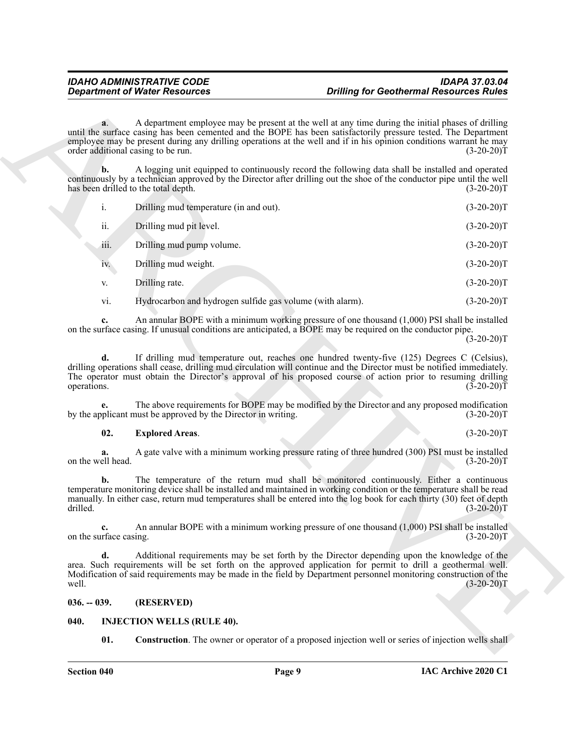|                   | <b>Department of Water Resources</b>                                                                              | <b>Drilling for Geothermal Resources Rules</b>                                                                                                                                                                                                                                                                                                              |
|-------------------|-------------------------------------------------------------------------------------------------------------------|-------------------------------------------------------------------------------------------------------------------------------------------------------------------------------------------------------------------------------------------------------------------------------------------------------------------------------------------------------------|
|                   | a.<br>order additional casing to be run.                                                                          | A department employee may be present at the well at any time during the initial phases of drilling<br>until the surface casing has been cemented and the BOPE has been satisfactorily pressure tested. The Department<br>employee may be present during any drilling operations at the well and if in his opinion conditions warrant he may<br>$(3-20-20)T$ |
|                   | b.<br>has been drilled to the total depth.                                                                        | A logging unit equipped to continuously record the following data shall be installed and operated<br>continuously by a technician approved by the Director after drilling out the shoe of the conductor pipe until the well<br>$(3-20-20)T$                                                                                                                 |
|                   | i.<br>Drilling mud temperature (in and out).                                                                      | $(3-20-20)T$                                                                                                                                                                                                                                                                                                                                                |
|                   | ii.<br>Drilling mud pit level.                                                                                    | $(3-20-20)T$                                                                                                                                                                                                                                                                                                                                                |
|                   | Drilling mud pump volume.<br>111.                                                                                 | $(3-20-20)T$                                                                                                                                                                                                                                                                                                                                                |
|                   | Drilling mud weight.<br>iv.                                                                                       | $(3-20-20)T$                                                                                                                                                                                                                                                                                                                                                |
|                   | Drilling rate.<br>V.                                                                                              | $(3-20-20)T$                                                                                                                                                                                                                                                                                                                                                |
|                   | Hydrocarbon and hydrogen sulfide gas volume (with alarm).<br>vi.                                                  | $(3-20-20)T$                                                                                                                                                                                                                                                                                                                                                |
|                   | c.                                                                                                                | An annular BOPE with a minimum working pressure of one thousand $(1,000)$ PSI shall be installed<br>on the surface casing. If unusual conditions are anticipated, a BOPE may be required on the conductor pipe.<br>$(3-20-20)T$                                                                                                                             |
| operations.       | d.                                                                                                                | If drilling mud temperature out, reaches one hundred twenty-five (125) Degrees C (Celsius),<br>drilling operations shall cease, drilling mud circulation will continue and the Director must be notified immediately.<br>The operator must obtain the Director's approval of his proposed course of action prior to resuming drilling<br>$(3-20-20)T$       |
|                   | e.<br>by the applicant must be approved by the Director in writing.                                               | The above requirements for BOPE may be modified by the Director and any proposed modification<br>$(3-20-20)T$                                                                                                                                                                                                                                               |
|                   | 02.<br><b>Explored Areas.</b>                                                                                     | $(3-20-20)T$                                                                                                                                                                                                                                                                                                                                                |
| on the well head. | a.                                                                                                                | A gate valve with a minimum working pressure rating of three hundred (300) PSI must be installed<br>$(3-20-20)T$                                                                                                                                                                                                                                            |
| drilled.          | b.                                                                                                                | The temperature of the return mud shall be monitored continuously. Either a continuous<br>temperature monitoring device shall be installed and maintained in working condition or the temperature shall be read<br>manually. In either case, return mud temperatures shall be entered into the log book for each thirty (30) feet of depth<br>$(3-20-20)T$  |
|                   | c.<br>on the surface casing.                                                                                      | An annular BOPE with a minimum working pressure of one thousand $(1,000)$ PSI shall be installed<br>$(3-20-20)T$                                                                                                                                                                                                                                            |
| well.             | d.                                                                                                                | Additional requirements may be set forth by the Director depending upon the knowledge of the<br>area. Such requirements will be set forth on the approved application for permit to drill a geothermal well.<br>Modification of said requirements may be made in the field by Department personnel monitoring construction of the<br>$(3-20-20)T$           |
| $036. - 039.$     | (RESERVED)                                                                                                        |                                                                                                                                                                                                                                                                                                                                                             |
| 040.              | <b>INJECTION WELLS (RULE 40).</b>                                                                                 |                                                                                                                                                                                                                                                                                                                                                             |
|                   | 01.<br><b>Construction.</b> The owner or operator of a proposed injection well or series of injection wells shall |                                                                                                                                                                                                                                                                                                                                                             |

### <span id="page-8-2"></span>**02. Explored Areas**. (3-20-20)T

#### <span id="page-8-0"></span>**036. -- 039. (RESERVED)**

#### <span id="page-8-4"></span><span id="page-8-3"></span><span id="page-8-1"></span>**040. INJECTION WELLS (RULE 40).**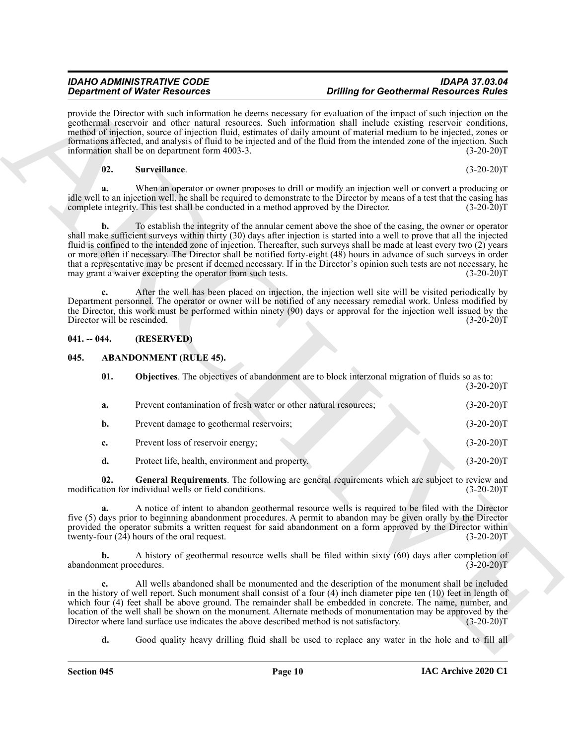#### <span id="page-9-5"></span>**02. Surveillance**. (3-20-20)T

### <span id="page-9-0"></span>**041. -- 044. (RESERVED)**

### <span id="page-9-4"></span><span id="page-9-3"></span><span id="page-9-2"></span><span id="page-9-1"></span>**045. ABANDONMENT (RULE 45).**

| <b>Department of Water Resources</b>       |                                                                                           | <b>Drilling for Geothermal Resources Rules</b>                                                                                                                                                                                                                                                                                                                                                                                                                                                                                                                                                                      |              |
|--------------------------------------------|-------------------------------------------------------------------------------------------|---------------------------------------------------------------------------------------------------------------------------------------------------------------------------------------------------------------------------------------------------------------------------------------------------------------------------------------------------------------------------------------------------------------------------------------------------------------------------------------------------------------------------------------------------------------------------------------------------------------------|--------------|
|                                            | information shall be on department form 4003-3.                                           | provide the Director with such information he deems necessary for evaluation of the impact of such injection on the<br>geothermal reservoir and other natural resources. Such information shall include existing reservoir conditions,<br>method of injection, source of injection fluid, estimates of daily amount of material medium to be injected, zones or<br>formations affected, and analysis of fluid to be injected and of the fluid from the intended zone of the injection. Such                                                                                                                         | $(3-20-20)T$ |
| 02.                                        | Surveillance.                                                                             |                                                                                                                                                                                                                                                                                                                                                                                                                                                                                                                                                                                                                     | $(3-20-20)T$ |
| a.                                         | complete integrity. This test shall be conducted in a method approved by the Director.    | When an operator or owner proposes to drill or modify an injection well or convert a producing or<br>idle well to an injection well, he shall be required to demonstrate to the Director by means of a test that the casing has                                                                                                                                                                                                                                                                                                                                                                                     | $(3-20-20)T$ |
| b.                                         | may grant a waiver excepting the operator from such tests.                                | To establish the integrity of the annular cement above the shoe of the casing, the owner or operator<br>shall make sufficient surveys within thirty (30) days after injection is started into a well to prove that all the injected<br>fluid is confined to the intended zone of injection. Thereafter, such surveys shall be made at least every two (2) years<br>or more often if necessary. The Director shall be notified forty-eight (48) hours in advance of such surveys in order<br>that a representative may be present if deemed necessary. If in the Director's opinion such tests are not necessary, he | $(3-20-20)T$ |
| $c_{\cdot}$<br>Director will be rescinded. |                                                                                           | After the well has been placed on injection, the injection well site will be visited periodically by<br>Department personnel. The operator or owner will be notified of any necessary remedial work. Unless modified by<br>the Director, this work must be performed within ninety (90) days or approval for the injection well issued by the                                                                                                                                                                                                                                                                       | $(3-20-20)T$ |
| $041. - 044.$                              | (RESERVED)                                                                                |                                                                                                                                                                                                                                                                                                                                                                                                                                                                                                                                                                                                                     |              |
| 045.                                       | <b>ABANDONMENT (RULE 45).</b>                                                             |                                                                                                                                                                                                                                                                                                                                                                                                                                                                                                                                                                                                                     |              |
| 01.                                        |                                                                                           | <b>Objectives</b> . The objectives of abandonment are to block interzonal migration of fluids so as to:                                                                                                                                                                                                                                                                                                                                                                                                                                                                                                             | $(3-20-20)T$ |
| a.                                         | Prevent contamination of fresh water or other natural resources;                          |                                                                                                                                                                                                                                                                                                                                                                                                                                                                                                                                                                                                                     | $(3-20-20)T$ |
| $\mathbf{b}$ .                             | Prevent damage to geothermal reservoirs;                                                  |                                                                                                                                                                                                                                                                                                                                                                                                                                                                                                                                                                                                                     | $(3-20-20)T$ |
| c.                                         | Prevent loss of reservoir energy;                                                         |                                                                                                                                                                                                                                                                                                                                                                                                                                                                                                                                                                                                                     | $(3-20-20)T$ |
| d.                                         | Protect life, health, environment and property.                                           |                                                                                                                                                                                                                                                                                                                                                                                                                                                                                                                                                                                                                     | $(3-20-20)T$ |
| 02.                                        | modification for individual wells or field conditions.                                    | General Requirements. The following are general requirements which are subject to review and                                                                                                                                                                                                                                                                                                                                                                                                                                                                                                                        | $(3-20-20)T$ |
|                                            | twenty-four $(2\tilde{4})$ hours of the oral request.                                     | A notice of intent to abandon geothermal resource wells is required to be filed with the Director<br>five (5) days prior to beginning abandonment procedures. A permit to abandon may be given orally by the Director<br>provided the operator submits a written request for said abandonment on a form approved by the Director within                                                                                                                                                                                                                                                                             | $(3-20-20)T$ |
| $\mathbf{b}$ .<br>abandonment procedures.  |                                                                                           | A history of geothermal resource wells shall be filed within sixty (60) days after completion of                                                                                                                                                                                                                                                                                                                                                                                                                                                                                                                    | $(3-20-20)T$ |
| c.                                         |                                                                                           | All wells abandoned shall be monumented and the description of the monument shall be included<br>in the history of well report. Such monument shall consist of a four (4) inch diameter pipe ten (10) feet in length of<br>which four (4) feet shall be above ground. The remainder shall be embedded in concrete. The name, number, and<br>location of the well shall be shown on the monument. Alternate methods of monumentation may be approved by the                                                                                                                                                          | $(3-20-20)T$ |
|                                            | Director where land surface use indicates the above described method is not satisfactory. |                                                                                                                                                                                                                                                                                                                                                                                                                                                                                                                                                                                                                     |              |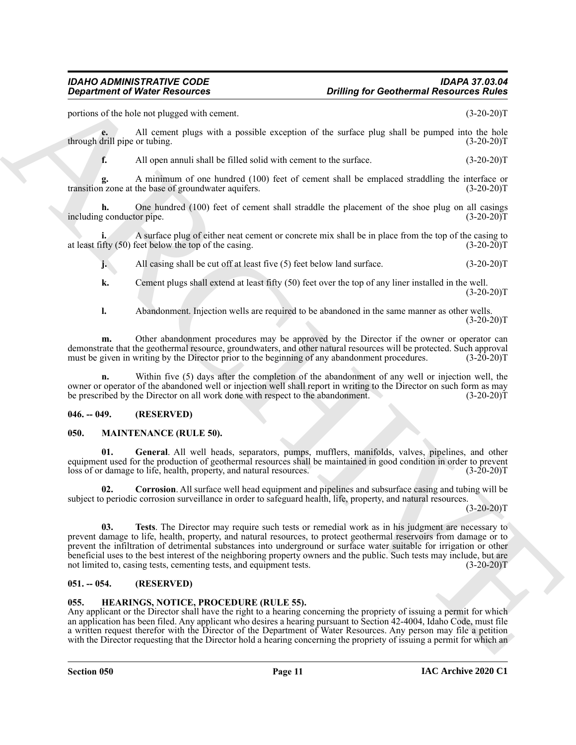portions of the hole not plugged with cement. (3-20-20)T

**e.** All cement plugs with a possible exception of the surface plug shall be pumped into the hole drill pipe or tubing. (3-20-20) through drill pipe or tubing.

**f.** All open annuli shall be filled solid with cement to the surface.  $(3-20-20)T$ 

**g.** A minimum of one hundred (100) feet of cement shall be emplaced straddling the interface or transition zone at the base of groundwater aquifers. (3-20-20)T

**h.** One hundred (100) feet of cement shall straddle the placement of the shoe plug on all casings g conductor pipe. (3-20-20)T including conductor pipe.

**i.** A surface plug of either neat cement or concrete mix shall be in place from the top of the casing to at least fifty (50) feet below the top of the casing. (3-20-20)T

**j.** All casing shall be cut off at least five (5) feet below land surface. (3-20-20)T

**k.** Cement plugs shall extend at least fifty (50) feet over the top of any liner installed in the well.  $(3-20-20)T$ 

**l.** Abandonment. Injection wells are required to be abandoned in the same manner as other wells.  $(3-20-20)T$ 

**m.** Other abandonment procedures may be approved by the Director if the owner or operator can demonstrate that the geothermal resource, groundwaters, and other natural resources will be protected. Such approval must be given in writing by the Director prior to the beginning of any abandonment procedures. (3-20-20)T

**n.** Within five (5) days after the completion of the abandonment of any well or injection well, the owner or operator of the abandoned well or injection well shall report in writing to the Director on such form as may<br>be prescribed by the Director on all work done with respect to the abandonment. (3-20-20) be prescribed by the Director on all work done with respect to the abandonment.

### <span id="page-10-0"></span>**046. -- 049. (RESERVED)**

#### <span id="page-10-5"></span><span id="page-10-1"></span>**050. MAINTENANCE (RULE 50).**

<span id="page-10-7"></span>**01. General**. All well heads, separators, pumps, mufflers, manifolds, valves, pipelines, and other equipment used for the production of geothermal resources shall be maintained in good condition in order to prevent loss of or damage to life, health, property, and natural resources. (3-20-20)T

<span id="page-10-8"></span><span id="page-10-6"></span>**02. Corrosion**. All surface well head equipment and pipelines and subsurface casing and tubing will be subject to periodic corrosion surveillance in order to safeguard health, life, property, and natural resources.

 $(3-20-20)T$ 

**Consideration** of *Nikola Resolution*<br>
Space from the state and sources. **Critical** and the state and the state and the state and the state and the state of the state and the state of the state and the state of the state **03. Tests**. The Director may require such tests or remedial work as in his judgment are necessary to prevent damage to life, health, property, and natural resources, to protect geothermal reservoirs from damage or to prevent the infiltration of detrimental substances into underground or surface water suitable for irrigation or other beneficial uses to the best interest of the neighboring property owners and the public. Such tests may include, but are not limited to, casing tests, cementing tests, and equipment tests. (3-20-20) not limited to, casing tests, cementing tests, and equipment tests.

### <span id="page-10-2"></span>**051. -- 054. (RESERVED)**

### <span id="page-10-4"></span><span id="page-10-3"></span>**055. HEARINGS, NOTICE, PROCEDURE (RULE 55).**

Any applicant or the Director shall have the right to a hearing concerning the propriety of issuing a permit for which an application has been filed. Any applicant who desires a hearing pursuant to Section 42-4004, Idaho Code, must file a written request therefor with the Director of the Department of Water Resources. Any person may file a petition with the Director requesting that the Director hold a hearing concerning the propriety of issuing a permit for which an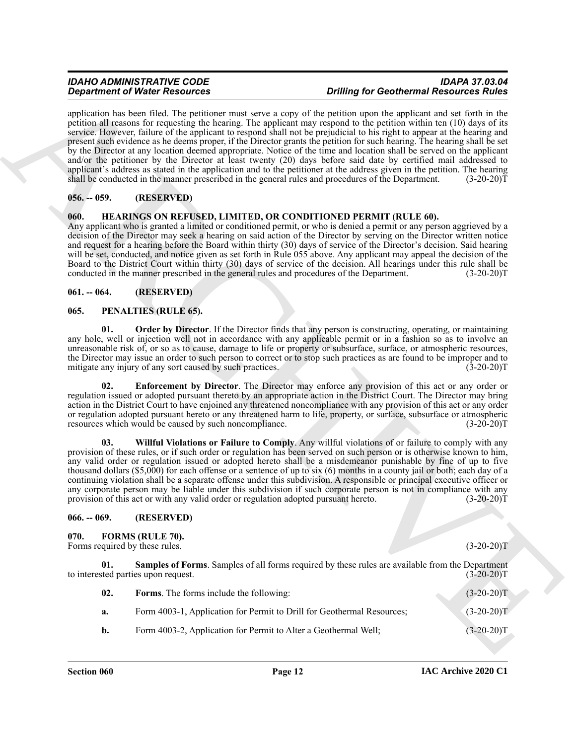**Construction of Water Associates** of the United Valley of the Collection of the Collection of the Construction of the Construction of the Collection of the Collection of the Collection of the Collection of the Collection application has been filed. The petitioner must serve a copy of the petition upon the applicant and set forth in the petition all reasons for requesting the hearing. The applicant may respond to the petition within ten (10) days of its service. However, failure of the applicant to respond shall not be prejudicial to his right to appear at the hearing and present such evidence as he deems proper, if the Director grants the petition for such hearing. The hearing shall be set by the Director at any location deemed appropriate. Notice of the time and location shall be served on the applicant and/or the petitioner by the Director at least twenty (20) days before said date by certified mail addressed to applicant's address as stated in the application and to the petitioner at the address given in the petition. The hearing shall be conducted in the manner prescribed in the general rules and procedures of the Department. (3-20-20)T

### <span id="page-11-0"></span>**056. -- 059. (RESERVED)**

### <span id="page-11-8"></span><span id="page-11-1"></span>**060. HEARINGS ON REFUSED, LIMITED, OR CONDITIONED PERMIT (RULE 60).**

Any applicant who is granted a limited or conditioned permit, or who is denied a permit or any person aggrieved by a decision of the Director may seek a hearing on said action of the Director by serving on the Director written notice and request for a hearing before the Board within thirty (30) days of service of the Director's decision. Said hearing will be set, conducted, and notice given as set forth in Rule 055 above. Any applicant may appeal the decision of the Board to the District Court within thirty (30) days of service of the decision. All hearings under this rule shall be conducted in the manner prescribed in the general rules and procedures of the Department. (3-20-20)T

### <span id="page-11-2"></span>**061. -- 064. (RESERVED)**

#### <span id="page-11-9"></span><span id="page-11-3"></span>**065. PENALTIES (RULE 65).**

<span id="page-11-11"></span>**01. Order by Director**. If the Director finds that any person is constructing, operating, or maintaining any hole, well or injection well not in accordance with any applicable permit or in a fashion so as to involve an unreasonable risk of, or so as to cause, damage to life or property or subsurface, surface, or atmospheric resources, the Director may issue an order to such person to correct or to stop such practices as are found to be improper and to mitigate any injury of any sort caused by such practices. (3-20-20) mitigate any injury of any sort caused by such practices.

<span id="page-11-10"></span>**02. Enforcement by Director**. The Director may enforce any provision of this act or any order or regulation issued or adopted pursuant thereto by an appropriate action in the District Court. The Director may bring action in the District Court to have enjoined any threatened noncompliance with any provision of this act or any order or regulation adopted pursuant hereto or any threatened harm to life, property, or surface, subsurface or atmospheric resources which would be caused by such noncompliance. (3-20-20)T

<span id="page-11-12"></span>**03. Willful Violations or Failure to Comply**. Any willful violations of or failure to comply with any provision of these rules, or if such order or regulation has been served on such person or is otherwise known to him, any valid order or regulation issued or adopted hereto shall be a misdemeanor punishable by fine of up to five thousand dollars (\$5,000) for each offense or a sentence of up to six (6) months in a county jail or both; each day of a continuing violation shall be a separate offense under this subdivision. A responsible or principal executive officer or any corporate person may be liable under this subdivision if such corporate person is not in compliance with any provision of this act or with any valid order or regulation adopted pursuant hereto. (3-20-20)T

#### <span id="page-11-4"></span>**066. -- 069. (RESERVED)**

#### <span id="page-11-6"></span><span id="page-11-5"></span>**070. FORMS (RULE 70).**

Forms required by these rules. (3-20-20)T

**01. Samples of Forms**. Samples of all forms required by these rules are available from the Department sted parties upon request. (3-20-20) to interested parties upon request.

<span id="page-11-7"></span>

| 02. | <b>Forms.</b> The forms include the following:                         | $(3-20-20)T$ |
|-----|------------------------------------------------------------------------|--------------|
| а.  | Form 4003-1, Application for Permit to Drill for Geothermal Resources; | $(3-20-20)T$ |
| b.  | Form 4003-2, Application for Permit to Alter a Geothermal Well;        | $(3-20-20)T$ |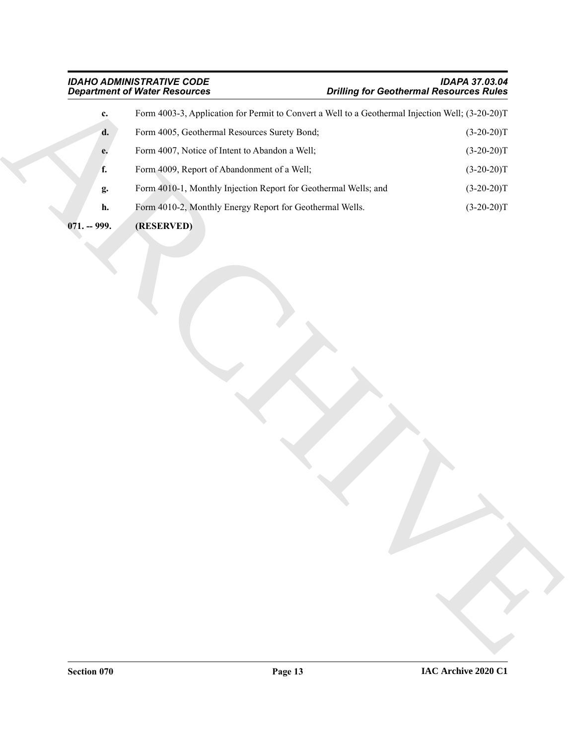|               | <b>Department of Water Resources</b>                                                             | <b>Drilling for Geothermal Resources Rules</b> |
|---------------|--------------------------------------------------------------------------------------------------|------------------------------------------------|
| c.            | Form 4003-3, Application for Permit to Convert a Well to a Geothermal Injection Well; (3-20-20)T |                                                |
| d.            | Form 4005, Geothermal Resources Surety Bond;                                                     | $(3-20-20)T$                                   |
| e.            | Form 4007, Notice of Intent to Abandon a Well;                                                   | $(3-20-20)T$                                   |
| f.            | Form 4009, Report of Abandonment of a Well;                                                      | $(3-20-20)T$                                   |
| g.            | Form 4010-1, Monthly Injection Report for Geothermal Wells; and                                  | $(3-20-20)T$                                   |
| h.            | Form 4010-2, Monthly Energy Report for Geothermal Wells.                                         | $(3-20-20)T$                                   |
| $071. - 999.$ | (RESERVED)                                                                                       |                                                |
|               |                                                                                                  |                                                |

- <span id="page-12-0"></span>**071. -- 999. (RESERVED)**
-